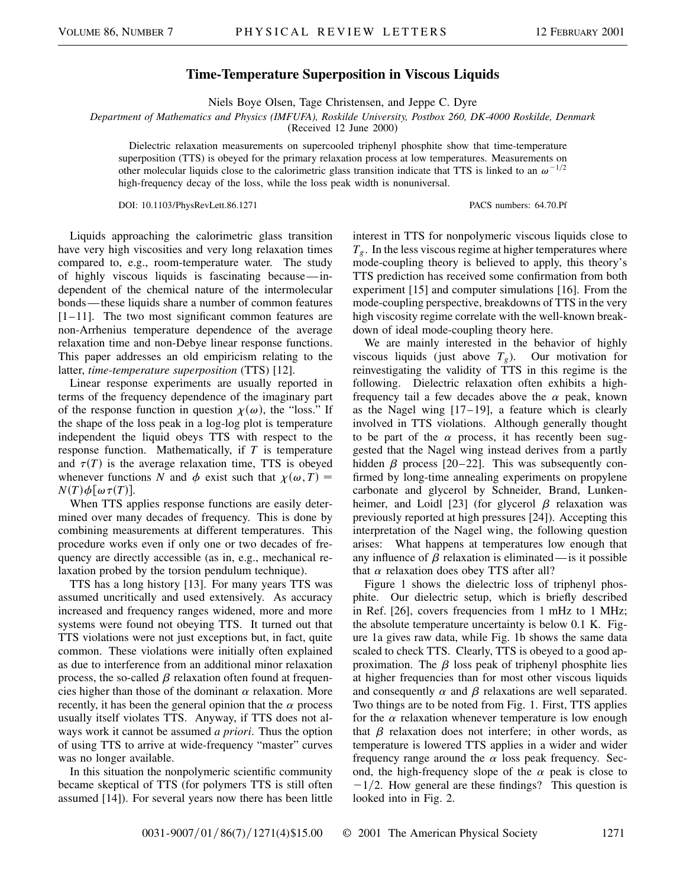## **Time-Temperature Superposition in Viscous Liquids**

Niels Boye Olsen, Tage Christensen, and Jeppe C. Dyre

*Department of Mathematics and Physics (IMFUFA), Roskilde University, Postbox 260, DK-4000 Roskilde, Denmark*

(Received 12 June 2000)

Dielectric relaxation measurements on supercooled triphenyl phosphite show that time-temperature superposition (TTS) is obeyed for the primary relaxation process at low temperatures. Measurements on other molecular liquids close to the calorimetric glass transition indicate that TTS is linked to an  $\omega^{-1/2}$ high-frequency decay of the loss, while the loss peak width is nonuniversal.

DOI: 10.1103/PhysRevLett.86.1271 PACS numbers: 64.70.Pf

Liquids approaching the calorimetric glass transition have very high viscosities and very long relaxation times compared to, e.g., room-temperature water. The study of highly viscous liquids is fascinating because—independent of the chemical nature of the intermolecular bonds — these liquids share a number of common features  $[1-11]$ . The two most significant common features are non-Arrhenius temperature dependence of the average relaxation time and non-Debye linear response functions. This paper addresses an old empiricism relating to the latter, *time-temperature superposition* (TTS) [12].

Linear response experiments are usually reported in terms of the frequency dependence of the imaginary part of the response function in question  $\chi(\omega)$ , the "loss." If the shape of the loss peak in a log-log plot is temperature independent the liquid obeys TTS with respect to the response function. Mathematically, if *T* is temperature and  $\tau(T)$  is the average relaxation time, TTS is obeyed whenever functions *N* and  $\phi$  exist such that  $\chi(\omega, T) =$  $N(T)\phi[\omega \tau(T)].$ 

When TTS applies response functions are easily determined over many decades of frequency. This is done by combining measurements at different temperatures. This procedure works even if only one or two decades of frequency are directly accessible (as in, e.g., mechanical relaxation probed by the torsion pendulum technique).

TTS has a long history [13]. For many years TTS was assumed uncritically and used extensively. As accuracy increased and frequency ranges widened, more and more systems were found not obeying TTS. It turned out that TTS violations were not just exceptions but, in fact, quite common. These violations were initially often explained as due to interference from an additional minor relaxation process, the so-called  $\beta$  relaxation often found at frequencies higher than those of the dominant  $\alpha$  relaxation. More recently, it has been the general opinion that the  $\alpha$  process usually itself violates TTS. Anyway, if TTS does not always work it cannot be assumed *a priori*. Thus the option of using TTS to arrive at wide-frequency "master" curves was no longer available.

In this situation the nonpolymeric scientific community became skeptical of TTS (for polymers TTS is still often assumed [14]). For several years now there has been little interest in TTS for nonpolymeric viscous liquids close to  $T_g$ . In the less viscous regime at higher temperatures where mode-coupling theory is believed to apply, this theory's TTS prediction has received some confirmation from both experiment [15] and computer simulations [16]. From the mode-coupling perspective, breakdowns of TTS in the very high viscosity regime correlate with the well-known breakdown of ideal mode-coupling theory here.

We are mainly interested in the behavior of highly viscous liquids (just above  $T_g$ ). Our motivation for reinvestigating the validity of TTS in this regime is the following. Dielectric relaxation often exhibits a highfrequency tail a few decades above the  $\alpha$  peak, known as the Nagel wing  $[17-19]$ , a feature which is clearly involved in TTS violations. Although generally thought to be part of the  $\alpha$  process, it has recently been suggested that the Nagel wing instead derives from a partly hidden  $\beta$  process [20–22]. This was subsequently confirmed by long-time annealing experiments on propylene carbonate and glycerol by Schneider, Brand, Lunkenheimer, and Loidl [23] (for glycerol  $\beta$  relaxation was previously reported at high pressures [24]). Accepting this interpretation of the Nagel wing, the following question arises: What happens at temperatures low enough that any influence of  $\beta$  relaxation is eliminated — is it possible that  $\alpha$  relaxation does obey TTS after all?

Figure 1 shows the dielectric loss of triphenyl phosphite. Our dielectric setup, which is briefly described in Ref. [26], covers frequencies from 1 mHz to 1 MHz; the absolute temperature uncertainty is below 0.1 K. Figure 1a gives raw data, while Fig. 1b shows the same data scaled to check TTS. Clearly, TTS is obeyed to a good approximation. The  $\beta$  loss peak of triphenyl phosphite lies at higher frequencies than for most other viscous liquids and consequently  $\alpha$  and  $\beta$  relaxations are well separated. Two things are to be noted from Fig. 1. First, TTS applies for the  $\alpha$  relaxation whenever temperature is low enough that  $\beta$  relaxation does not interfere; in other words, as temperature is lowered TTS applies in a wider and wider frequency range around the  $\alpha$  loss peak frequency. Second, the high-frequency slope of the  $\alpha$  peak is close to  $-1/2$ . How general are these findings? This question is looked into in Fig. 2.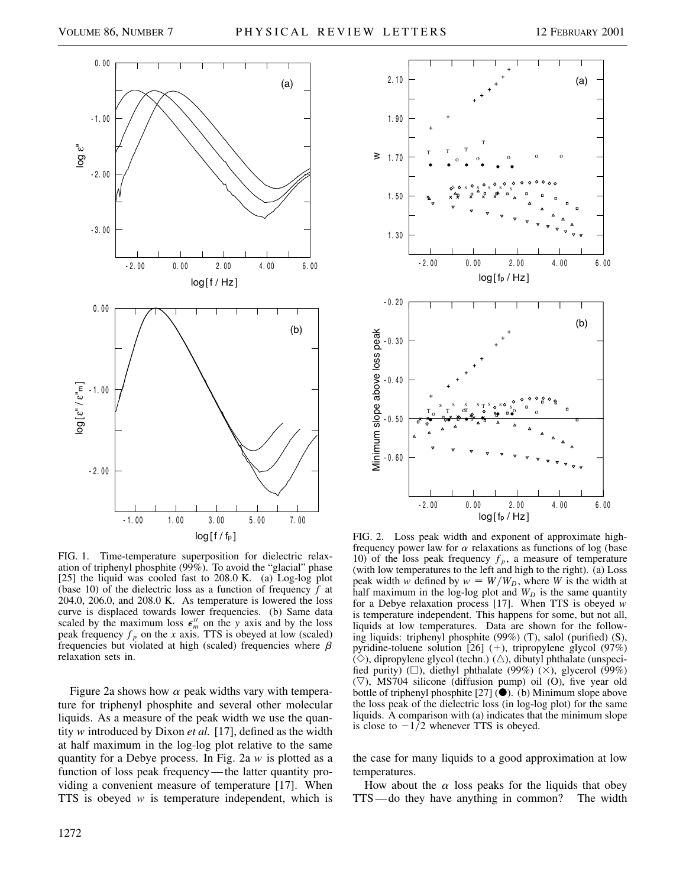

FIG. 1. Time-temperature superposition for dielectric relaxation of triphenyl phosphite (99%). To avoid the "glacial" phase [25] the liquid was cooled fast to 208.0 K. (a) Log-log plot (base 10) of the dielectric loss as a function of frequency *f* at 204.0, 206.0, and 208.0 K. As temperature is lowered the loss curve is displaced towards lower frequencies. (b) Same data scaled by the maximum loss  $\epsilon_m^{\prime\prime}$  on the *y* axis and by the loss peak frequency  $f_p$  on the *x* axis. TTS is obeyed at low (scaled) frequencies but violated at high (scaled) frequencies where  $\beta$ relaxation sets in.

Figure 2a shows how  $\alpha$  peak widths vary with temperature for triphenyl phosphite and several other molecular liquids. As a measure of the peak width we use the quantity *w* introduced by Dixon *et al.* [17], defined as the width at half maximum in the log-log plot relative to the same quantity for a Debye process. In Fig. 2a *w* is plotted as a function of loss peak frequency—the latter quantity providing a convenient measure of temperature [17]. When TTS is obeyed *w* is temperature independent, which is



FIG. 2. Loss peak width and exponent of approximate highfrequency power law for  $\alpha$  relaxations as functions of log (base 10) of the loss peak frequency  $f_p$ , a measure of temperature (with low temperatures to the left and high to the right). (a) Loss peak width *w* defined by  $w = W/W_D$ , where *W* is the width at half maximum in the log-log plot and  $W_D$  is the same quantity for a Debye relaxation process [17]. When TTS is obeyed *w* is temperature independent. This happens for some, but not all, liquids at low temperatures. Data are shown for the following liquids: triphenyl phosphite (99%) (T), salol (purified) (S), pyridine-toluene solution  $[26]$  (+), tripropylene glycol (97%)  $(\diamond)$ , dipropylene glycol (techn.)  $(\triangle)$ , dibutyl phthalate (unspecified purity) ( $\square$ ), diethyl phthalate (99%) ( $\times$ ), glycerol (99%)  $(\nabla)$ , MS704 silicone (diffusion pump) oil (O), five year old bottle of triphenyl phosphite [27]  $\vec{()}$ . (b) Minimum slope above the loss peak of the dielectric loss (in log-log plot) for the same liquids. A comparison with (a) indicates that the minimum slope is close to  $-1/2$  whenever TTS is obeyed.

the case for many liquids to a good approximation at low temperatures.

How about the  $\alpha$  loss peaks for the liquids that obey TTS—do they have anything in common? The width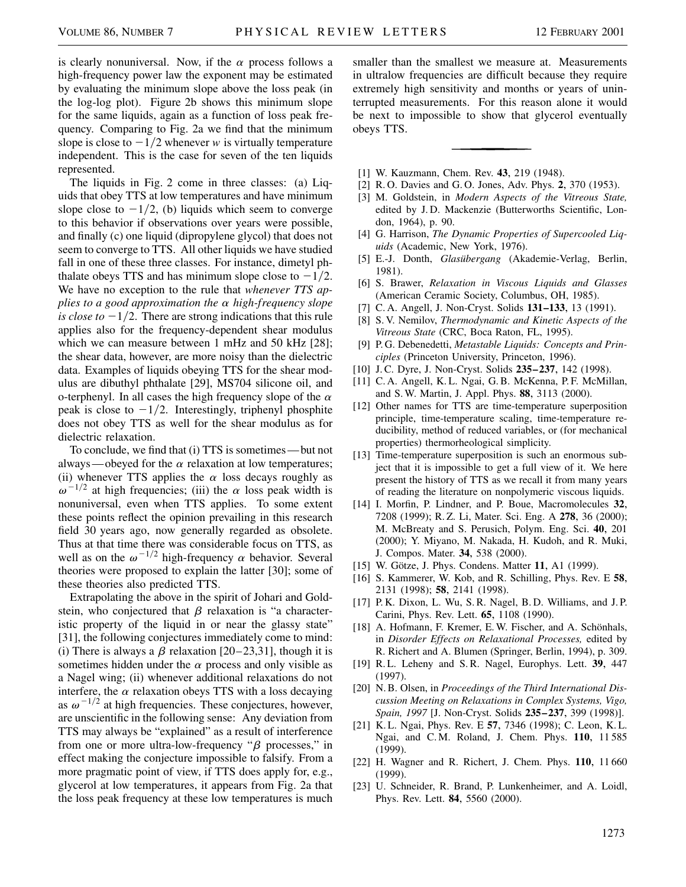is clearly nonuniversal. Now, if the  $\alpha$  process follows a high-frequency power law the exponent may be estimated by evaluating the minimum slope above the loss peak (in the log-log plot). Figure 2b shows this minimum slope for the same liquids, again as a function of loss peak frequency. Comparing to Fig. 2a we find that the minimum slope is close to  $-1/2$  whenever *w* is virtually temperature independent. This is the case for seven of the ten liquids represented.

The liquids in Fig. 2 come in three classes: (a) Liquids that obey TTS at low temperatures and have minimum slope close to  $-1/2$ , (b) liquids which seem to converge to this behavior if observations over years were possible, and finally (c) one liquid (dipropylene glycol) that does not seem to converge to TTS. All other liquids we have studied fall in one of these three classes. For instance, dimetyl phthalate obeys TTS and has minimum slope close to  $-1/2$ . We have no exception to the rule that *whenever TTS applies to a good approximation the* a *high-frequency slope is close to*  $-1/2$ . There are strong indications that this rule applies also for the frequency-dependent shear modulus which we can measure between 1 mHz and 50 kHz [28]; the shear data, however, are more noisy than the dielectric data. Examples of liquids obeying TTS for the shear modulus are dibuthyl phthalate [29], MS704 silicone oil, and o-terphenyl. In all cases the high frequency slope of the  $\alpha$ peak is close to  $-1/2$ . Interestingly, triphenyl phosphite does not obey TTS as well for the shear modulus as for dielectric relaxation.

To conclude, we find that (i) TTS is sometimes—but not always—obeyed for the  $\alpha$  relaxation at low temperatures; (ii) whenever TTS applies the  $\alpha$  loss decays roughly as  $\omega^{-1/2}$  at high frequencies; (iii) the  $\alpha$  loss peak width is nonuniversal, even when TTS applies. To some extent these points reflect the opinion prevailing in this research field 30 years ago, now generally regarded as obsolete. Thus at that time there was considerable focus on TTS, as well as on the  $\omega^{-1/2}$  high-frequency  $\alpha$  behavior. Several theories were proposed to explain the latter [30]; some of these theories also predicted TTS.

Extrapolating the above in the spirit of Johari and Goldstein, who conjectured that  $\beta$  relaxation is "a characteristic property of the liquid in or near the glassy state" [31], the following conjectures immediately come to mind: (i) There is always a  $\beta$  relaxation [20–23,31], though it is sometimes hidden under the  $\alpha$  process and only visible as a Nagel wing; (ii) whenever additional relaxations do not interfere, the  $\alpha$  relaxation obeys TTS with a loss decaying as  $\omega^{-1/2}$  at high frequencies. These conjectures, however, are unscientific in the following sense: Any deviation from TTS may always be "explained" as a result of interference from one or more ultra-low-frequency " $\beta$  processes," in effect making the conjecture impossible to falsify. From a more pragmatic point of view, if TTS does apply for, e.g., glycerol at low temperatures, it appears from Fig. 2a that the loss peak frequency at these low temperatures is much smaller than the smallest we measure at. Measurements in ultralow frequencies are difficult because they require extremely high sensitivity and months or years of uninterrupted measurements. For this reason alone it would be next to impossible to show that glycerol eventually obeys TTS.

- [1] W. Kauzmann, Chem. Rev. **43**, 219 (1948).
- [2] R. O. Davies and G. O. Jones, Adv. Phys. **2**, 370 (1953).
- [3] M. Goldstein, in *Modern Aspects of the Vitreous State,* edited by J. D. Mackenzie (Butterworths Scientific, London, 1964), p. 90.
- [4] G. Harrison, *The Dynamic Properties of Supercooled Liquids* (Academic, New York, 1976).
- [5] E.-J. Donth, *Glasübergang* (Akademie-Verlag, Berlin, 1981).
- [6] S. Brawer, *Relaxation in Viscous Liquids and Glasses* (American Ceramic Society, Columbus, OH, 1985).
- [7] C. A. Angell, J. Non-Cryst. Solids **131–133**, 13 (1991).
- [8] S. V. Nemilov, *Thermodynamic and Kinetic Aspects of the Vitreous State* (CRC, Boca Raton, FL, 1995).
- [9] P. G. Debenedetti, *Metastable Liquids: Concepts and Principles* (Princeton University, Princeton, 1996).
- [10] J. C. Dyre, J. Non-Cryst. Solids **235–237**, 142 (1998).
- [11] C. A. Angell, K. L. Ngai, G. B. McKenna, P. F. McMillan, and S. W. Martin, J. Appl. Phys. **88**, 3113 (2000).
- [12] Other names for TTS are time-temperature superposition principle, time-temperature scaling, time-temperature reducibility, method of reduced variables, or (for mechanical properties) thermorheological simplicity.
- [13] Time-temperature superposition is such an enormous subject that it is impossible to get a full view of it. We here present the history of TTS as we recall it from many years of reading the literature on nonpolymeric viscous liquids.
- [14] I. Morfin, P. Lindner, and P. Boue, Macromolecules **32**, 7208 (1999); R. Z. Li, Mater. Sci. Eng. A **278**, 36 (2000); M. McBreaty and S. Perusich, Polym. Eng. Sci. **40**, 201 (2000); Y. Miyano, M. Nakada, H. Kudoh, and R. Muki, J. Compos. Mater. **34**, 538 (2000).
- [15] W. Götze, J. Phys. Condens. Matter **11**, A1 (1999).
- [16] S. Kammerer, W. Kob, and R. Schilling, Phys. Rev. E **58**, 2131 (1998); **58**, 2141 (1998).
- [17] P. K. Dixon, L. Wu, S. R. Nagel, B. D. Williams, and J. P. Carini, Phys. Rev. Lett. **65**, 1108 (1990).
- [18] A. Hofmann, F. Kremer, E. W. Fischer, and A. Schönhals, in *Disorder Effects on Relaxational Processes,* edited by R. Richert and A. Blumen (Springer, Berlin, 1994), p. 309.
- [19] R. L. Leheny and S. R. Nagel, Europhys. Lett. **39**, 447 (1997).
- [20] N. B. Olsen, in *Proceedings of the Third International Discussion Meeting on Relaxations in Complex Systems, Vigo, Spain, 1997* [J. Non-Cryst. Solids **235–237**, 399 (1998)].
- [21] K. L. Ngai, Phys. Rev. E **57**, 7346 (1998); C. Leon, K. L. Ngai, and C. M. Roland, J. Chem. Phys. **110**, 11 585 (1999).
- [22] H. Wagner and R. Richert, J. Chem. Phys. **110**, 11 660 (1999).
- [23] U. Schneider, R. Brand, P. Lunkenheimer, and A. Loidl, Phys. Rev. Lett. **84**, 5560 (2000).